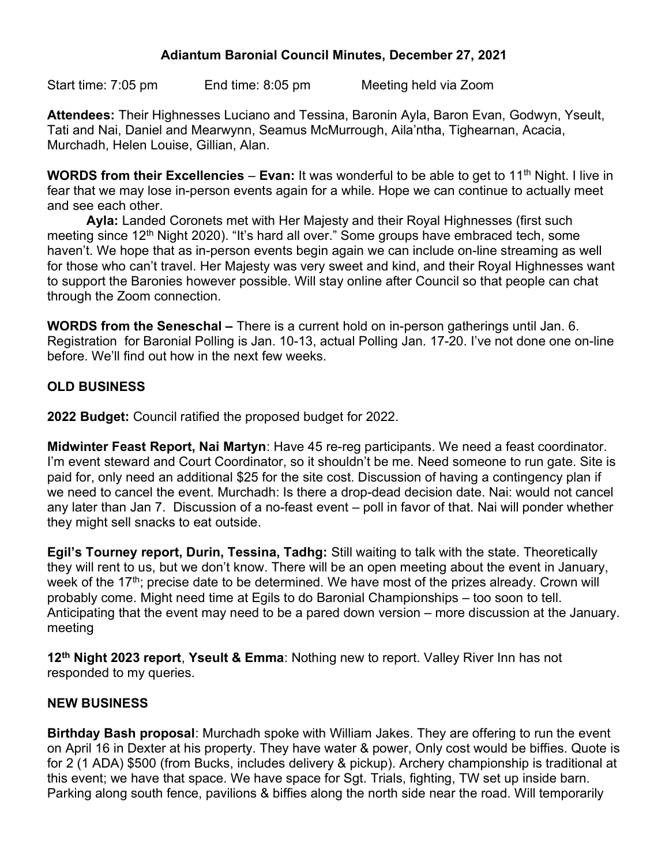## Adiantum Baronial Council Minutes, December 27, 2021

Start time: 7:05 pm End time: 8:05 pm Meeting held via Zoom

Attendees: Their Highnesses Luciano and Tessina, Baronin Ayla, Baron Evan, Godwyn, Yseult, Tati and Nai, Daniel and Mearwynn, Seamus McMurrough, Aila'ntha, Tighearnan, Acacia, Murchadh, Helen Louise, Gillian, Alan.

**WORDS from their Excellencies – Evan:** It was wonderful to be able to get to 11<sup>th</sup> Night. I live in fear that we may lose in-person events again for a while. Hope we can continue to actually meet and see each other.

Ayla: Landed Coronets met with Her Majesty and their Royal Highnesses (first such meeting since 12<sup>th</sup> Night 2020). "It's hard all over." Some groups have embraced tech, some haven't. We hope that as in-person events begin again we can include on-line streaming as well for those who can't travel. Her Majesty was very sweet and kind, and their Royal Highnesses want to support the Baronies however possible. Will stay online after Council so that people can chat through the Zoom connection.

WORDS from the Seneschal – There is a current hold on in-person gatherings until Jan. 6. Registration for Baronial Polling is Jan. 10-13, actual Polling Jan. 17-20. I've not done one on-line before. We'll find out how in the next few weeks.

## OLD BUSINESS

2022 Budget: Council ratified the proposed budget for 2022.

Midwinter Feast Report, Nai Martyn: Have 45 re-reg participants. We need a feast coordinator. I'm event steward and Court Coordinator, so it shouldn't be me. Need someone to run gate. Site is paid for, only need an additional \$25 for the site cost. Discussion of having a contingency plan if we need to cancel the event. Murchadh: Is there a drop-dead decision date. Nai: would not cancel any later than Jan 7. Discussion of a no-feast event – poll in favor of that. Nai will ponder whether they might sell snacks to eat outside.

Egil's Tourney report, Durin, Tessina, Tadhg: Still waiting to talk with the state. Theoretically they will rent to us, but we don't know. There will be an open meeting about the event in January, week of the 17<sup>th</sup>; precise date to be determined. We have most of the prizes already. Crown will probably come. Might need time at Egils to do Baronial Championships – too soon to tell. Anticipating that the event may need to be a pared down version – more discussion at the January. meeting

12<sup>th</sup> Night 2023 report, Yseult & Emma: Nothing new to report. Valley River Inn has not responded to my queries.

## NEW BUSINESS

Birthday Bash proposal: Murchadh spoke with William Jakes. They are offering to run the event on April 16 in Dexter at his property. They have water & power, Only cost would be biffies. Quote is for 2 (1 ADA) \$500 (from Bucks, includes delivery & pickup). Archery championship is traditional at this event; we have that space. We have space for Sgt. Trials, fighting, TW set up inside barn. Parking along south fence, pavilions & biffies along the north side near the road. Will temporarily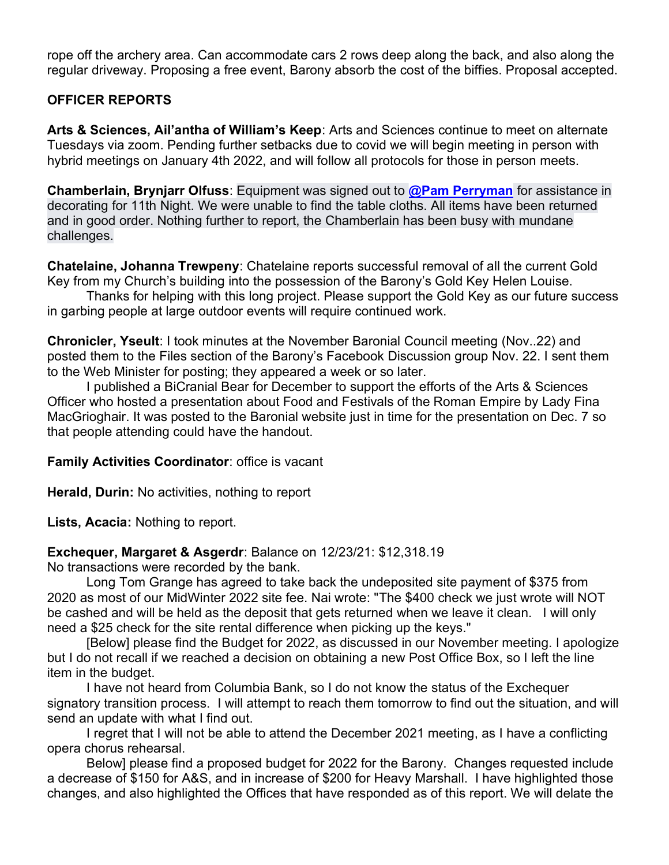rope off the archery area. Can accommodate cars 2 rows deep along the back, and also along the regular driveway. Proposing a free event, Barony absorb the cost of the biffies. Proposal accepted.

## OFFICER REPORTS

Arts & Sciences, Ail'antha of William's Keep: Arts and Sciences continue to meet on alternate Tuesdays via zoom. Pending further setbacks due to covid we will begin meeting in person with hybrid meetings on January 4th 2022, and will follow all protocols for those in person meets.

Chamberlain, Brynjarr Olfuss: Equipment was signed out to @Pam Perryman for assistance in decorating for 11th Night. We were unable to find the table cloths. All items have been returned and in good order. Nothing further to report, the Chamberlain has been busy with mundane challenges.

Chatelaine, Johanna Trewpeny: Chatelaine reports successful removal of all the current Gold Key from my Church's building into the possession of the Barony's Gold Key Helen Louise.

Thanks for helping with this long project. Please support the Gold Key as our future success in garbing people at large outdoor events will require continued work.

Chronicler, Yseult: I took minutes at the November Baronial Council meeting (Nov..22) and posted them to the Files section of the Barony's Facebook Discussion group Nov. 22. I sent them to the Web Minister for posting; they appeared a week or so later.

I published a BiCranial Bear for December to support the efforts of the Arts & Sciences Officer who hosted a presentation about Food and Festivals of the Roman Empire by Lady Fina MacGrioghair. It was posted to the Baronial website just in time for the presentation on Dec. 7 so that people attending could have the handout.

Family Activities Coordinator: office is vacant

Herald, Durin: No activities, nothing to report

Lists, Acacia: Nothing to report.

#### Exchequer, Margaret & Asgerdr: Balance on 12/23/21: \$12,318.19

No transactions were recorded by the bank.

Long Tom Grange has agreed to take back the undeposited site payment of \$375 from 2020 as most of our MidWinter 2022 site fee. Nai wrote: "The \$400 check we just wrote will NOT be cashed and will be held as the deposit that gets returned when we leave it clean. I will only need a \$25 check for the site rental difference when picking up the keys."

[Below] please find the Budget for 2022, as discussed in our November meeting. I apologize but I do not recall if we reached a decision on obtaining a new Post Office Box, so I left the line item in the budget.

I have not heard from Columbia Bank, so I do not know the status of the Exchequer signatory transition process. I will attempt to reach them tomorrow to find out the situation, and will send an update with what I find out.

I regret that I will not be able to attend the December 2021 meeting, as I have a conflicting opera chorus rehearsal.

Below] please find a proposed budget for 2022 for the Barony. Changes requested include a decrease of \$150 for A&S, and in increase of \$200 for Heavy Marshall. I have highlighted those changes, and also highlighted the Offices that have responded as of this report. We will delate the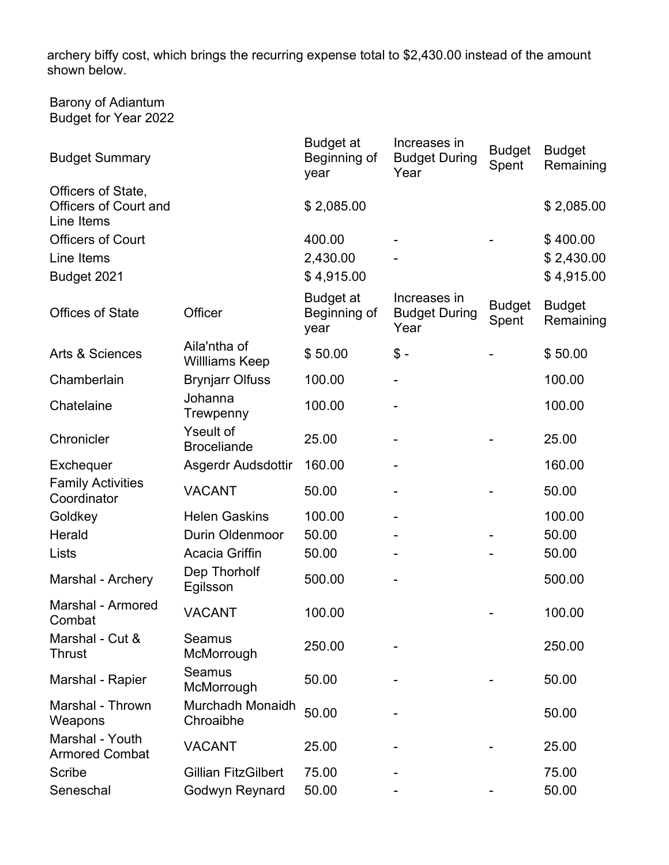archery biffy cost, which brings the recurring expense total to \$2,430.00 instead of the amount shown below.

Barony of Adiantum Budget for Year 2022

| <b>Budget Summary</b>                                            |                                        | <b>Budget at</b><br>Beginning of<br>year | Increases in<br><b>Budget During</b><br>Year | <b>Budget</b><br>Spent | <b>Budget</b><br>Remaining |
|------------------------------------------------------------------|----------------------------------------|------------------------------------------|----------------------------------------------|------------------------|----------------------------|
| Officers of State,<br><b>Officers of Court and</b><br>Line Items |                                        | \$2,085.00                               |                                              |                        | \$2,085.00                 |
| <b>Officers of Court</b>                                         |                                        | 400.00                                   |                                              |                        | \$400.00                   |
| Line Items                                                       |                                        | 2,430.00                                 |                                              |                        | \$2,430.00                 |
| Budget 2021                                                      |                                        | \$4,915.00                               |                                              |                        | \$4,915.00                 |
| <b>Offices of State</b>                                          | Officer                                | <b>Budget at</b><br>Beginning of<br>year | Increases in<br><b>Budget During</b><br>Year | <b>Budget</b><br>Spent | <b>Budget</b><br>Remaining |
| Arts & Sciences                                                  | Aila'ntha of<br>Willliams Keep         | \$50.00                                  | $$ -$                                        |                        | \$50.00                    |
| Chamberlain                                                      | <b>Brynjarr Olfuss</b>                 | 100.00                                   |                                              |                        | 100.00                     |
| Chatelaine                                                       | Johanna<br>Trewpenny                   | 100.00                                   |                                              |                        | 100.00                     |
| Chronicler                                                       | <b>Yseult of</b><br><b>Broceliande</b> | 25.00                                    |                                              |                        | 25.00                      |
| Exchequer                                                        | Asgerdr Audsdottir                     | 160.00                                   |                                              |                        | 160.00                     |
| <b>Family Activities</b><br>Coordinator                          | <b>VACANT</b>                          | 50.00                                    |                                              |                        | 50.00                      |
| Goldkey                                                          | <b>Helen Gaskins</b>                   | 100.00                                   |                                              |                        | 100.00                     |
| Herald                                                           | <b>Durin Oldenmoor</b>                 | 50.00                                    |                                              |                        | 50.00                      |
| Lists                                                            | <b>Acacia Griffin</b>                  | 50.00                                    |                                              |                        | 50.00                      |
| Marshal - Archery                                                | Dep Thorholf<br>Egilsson               | 500.00                                   |                                              |                        | 500.00                     |
| Marshal - Armored<br>Combat                                      | <b>VACANT</b>                          | 100.00                                   |                                              |                        | 100.00                     |
| Marshal - Cut &<br><b>Thrust</b>                                 | <b>Seamus</b><br>McMorrough            | 250.00                                   |                                              |                        | 250.00                     |
| Marshal - Rapier                                                 | Seamus<br>McMorrough                   | 50.00                                    |                                              |                        | 50.00                      |
| Marshal - Thrown<br>Weapons                                      | Murchadh Monaidh<br>Chroaibhe          | 50.00                                    |                                              |                        | 50.00                      |
| Marshal - Youth<br><b>Armored Combat</b>                         | <b>VACANT</b>                          | 25.00                                    |                                              |                        | 25.00                      |
| <b>Scribe</b>                                                    | <b>Gillian FitzGilbert</b>             | 75.00                                    |                                              |                        | 75.00                      |
| Seneschal                                                        | Godwyn Reynard                         | 50.00                                    |                                              |                        | 50.00                      |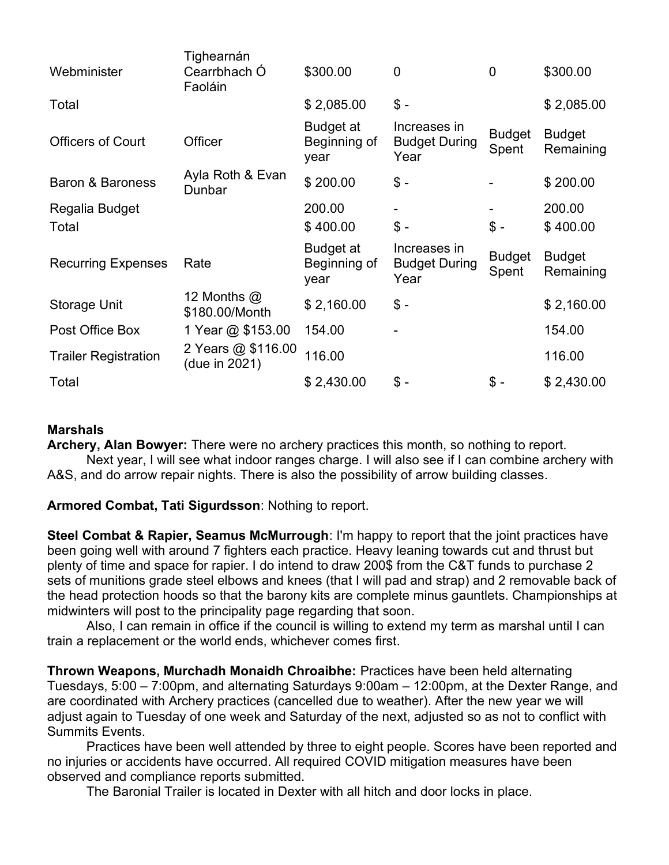| Webminister                 | Tighearnán<br>Cearrbhach Ó<br>Faoláin | \$300.00                          | $\overline{0}$                               | $\overline{0}$         | \$300.00                   |
|-----------------------------|---------------------------------------|-----------------------------------|----------------------------------------------|------------------------|----------------------------|
| Total                       |                                       | \$2,085.00                        | $$ -$                                        |                        | \$2,085.00                 |
| <b>Officers of Court</b>    | Officer                               | Budget at<br>Beginning of<br>year | Increases in<br><b>Budget During</b><br>Year | <b>Budget</b><br>Spent | <b>Budget</b><br>Remaining |
| <b>Baron &amp; Baroness</b> | Ayla Roth & Evan<br>Dunbar            | \$200.00                          | $$ -$                                        |                        | \$200.00                   |
| Regalia Budget<br>Total     |                                       | 200.00<br>\$400.00                | $$ -$                                        | $$ -$                  | 200.00<br>\$400.00         |
| <b>Recurring Expenses</b>   | Rate                                  | Budget at<br>Beginning of<br>year | Increases in<br><b>Budget During</b><br>Year | <b>Budget</b><br>Spent | <b>Budget</b><br>Remaining |
| Storage Unit                | 12 Months $\omega$<br>\$180.00/Month  | \$2,160.00                        | $$ -$                                        |                        | \$2,160.00                 |
| Post Office Box             | 1 Year @ \$153.00                     | 154.00                            |                                              |                        | 154.00                     |
| <b>Trailer Registration</b> | 2 Years @ \$116.00<br>(due in 2021)   | 116.00                            |                                              |                        | 116.00                     |
| Total                       |                                       | \$2,430.00                        | $$ -$                                        | $$ -$                  | \$2,430.00                 |

## **Marshals**

Archery, Alan Bowyer: There were no archery practices this month, so nothing to report. Next year, I will see what indoor ranges charge. I will also see if I can combine archery with A&S, and do arrow repair nights. There is also the possibility of arrow building classes.

Armored Combat, Tati Sigurdsson: Nothing to report.

Steel Combat & Rapier, Seamus McMurrough: I'm happy to report that the joint practices have been going well with around 7 fighters each practice. Heavy leaning towards cut and thrust but plenty of time and space for rapier. I do intend to draw 200\$ from the C&T funds to purchase 2 sets of munitions grade steel elbows and knees (that I will pad and strap) and 2 removable back of the head protection hoods so that the barony kits are complete minus gauntlets. Championships at midwinters will post to the principality page regarding that soon.

Also, I can remain in office if the council is willing to extend my term as marshal until I can train a replacement or the world ends, whichever comes first.

Thrown Weapons, Murchadh Monaidh Chroaibhe: Practices have been held alternating Tuesdays, 5:00 – 7:00pm, and alternating Saturdays 9:00am – 12:00pm, at the Dexter Range, and are coordinated with Archery practices (cancelled due to weather). After the new year we will adjust again to Tuesday of one week and Saturday of the next, adjusted so as not to conflict with Summits Events.

Practices have been well attended by three to eight people. Scores have been reported and no injuries or accidents have occurred. All required COVID mitigation measures have been observed and compliance reports submitted.

The Baronial Trailer is located in Dexter with all hitch and door locks in place.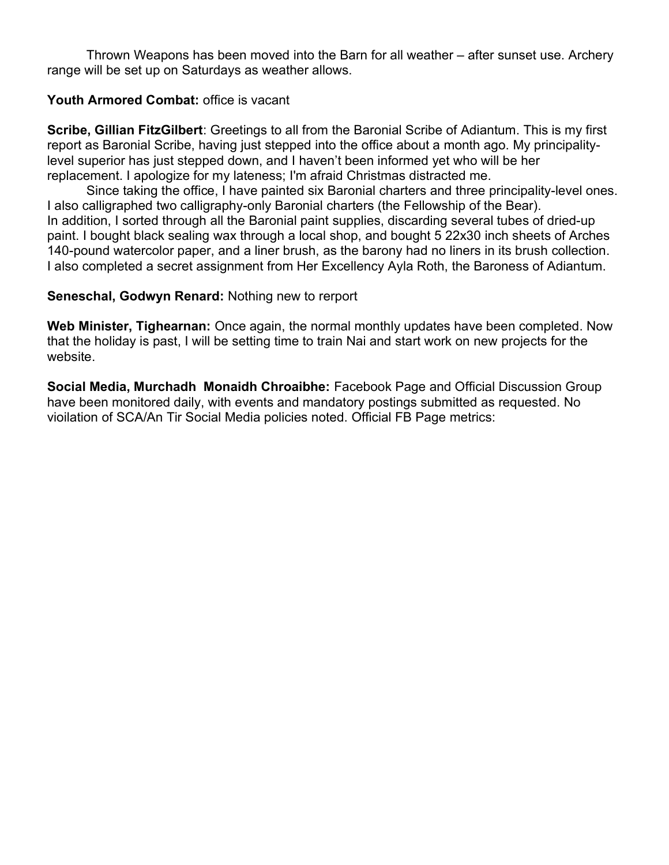Thrown Weapons has been moved into the Barn for all weather – after sunset use. Archery range will be set up on Saturdays as weather allows.

## Youth Armored Combat: office is vacant

Scribe, Gillian FitzGilbert: Greetings to all from the Baronial Scribe of Adiantum. This is my first report as Baronial Scribe, having just stepped into the office about a month ago. My principalitylevel superior has just stepped down, and I haven't been informed yet who will be her replacement. I apologize for my lateness; I'm afraid Christmas distracted me.

Since taking the office, I have painted six Baronial charters and three principality-level ones. I also calligraphed two calligraphy-only Baronial charters (the Fellowship of the Bear). In addition, I sorted through all the Baronial paint supplies, discarding several tubes of dried-up paint. I bought black sealing wax through a local shop, and bought 5 22x30 inch sheets of Arches 140-pound watercolor paper, and a liner brush, as the barony had no liners in its brush collection. I also completed a secret assignment from Her Excellency Ayla Roth, the Baroness of Adiantum.

## Seneschal, Godwyn Renard: Nothing new to rerport

Web Minister, Tighearnan: Once again, the normal monthly updates have been completed. Now that the holiday is past, I will be setting time to train Nai and start work on new projects for the website.

Social Media, Murchadh Monaidh Chroaibhe: Facebook Page and Official Discussion Group have been monitored daily, with events and mandatory postings submitted as requested. No vioilation of SCA/An Tir Social Media policies noted. Official FB Page metrics: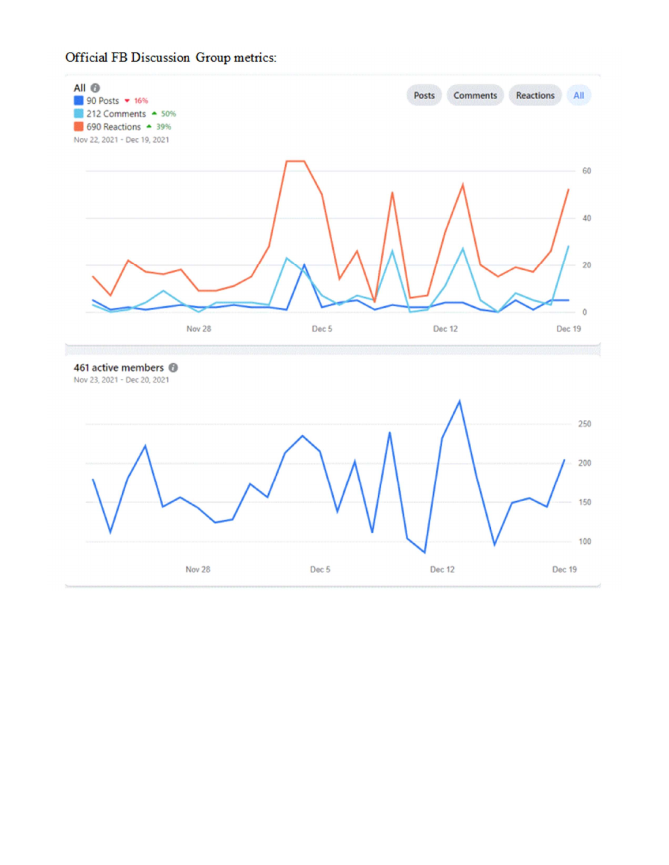